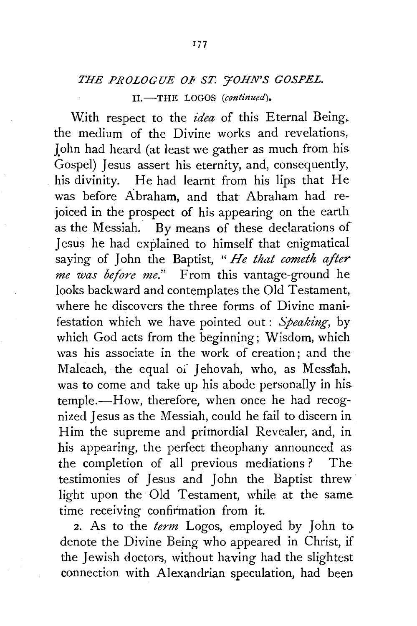## THE PROLOGUE OF ST. 'FOHN'S GOSPEL. II.-THE LOGOS *(continued).*

With respect to the *idea* of this Eternal Being. the medium of the Divine works and revelations, John had heard (at least we gather as much from his. Gospel) Jesus assert his eternity, and, consequently, his divinity. He had learnt from his lips that He was before Abraham, and that Abraham had rejoiced in the prospect of his appearing on the earth as the Messiah. By means of these declarations of Jesus he had explained to himself that enigmatical saying of John the Baptist, " *He that cometh after me was before me."* From this vantage-ground he looks backward and contemplates the Old Testament, where he discovers the three forms of Divine manifestation which we have pointed out : *Speaking,* by which God acts from the beginning; Wisdom, which was his associate in the work of creation; and the Maleach, the equal of Jehovah, who, as Messtah. was to come and take up his abode personally in his. temple.-How, therefore, when once he had recognized Jesus as the Messiah, could he fail to discern in Him the supreme and primordial Revealer, and, in his appearing, the perfect theophany announced as the completion of all previous mediations? The testimonies of Jesus and John the Baptist threw light upon the Old Testament, while at the same time receiving confirmation from it.

2. As to the *term* Logos, employed by John to· denote the Divine Being who appeared in Christ, if the Jewish doctors, without having had the slightest connection with Alexandrian speculation, had been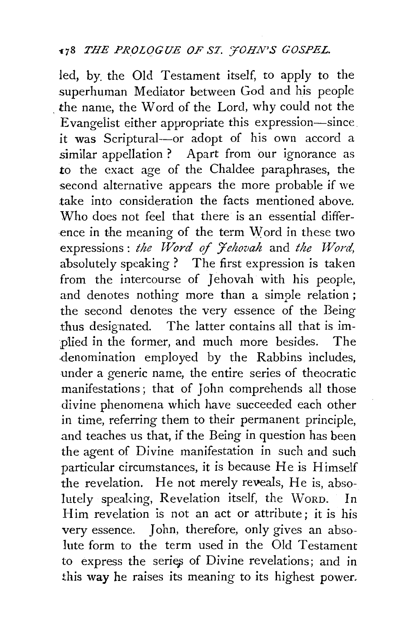led, by. the Old Testament itself, to apply to the superhuman Mediator between God and his people . the name, the Word of the Lord, why could not the Evangelist either appropriate this expression-since it was Scriptural--or adopt of his own accord a similar appellation ? Apart from our ignorance as **to** the exact age of the Chaldee paraphrases, the second alternative appears the more probable if we take into consideration the facts mentioned above. Who does not feel that there is an essential difference in the meaning of the term Word in these two expressions: *the Word of Jehovah* and *the Word*, absolutely speaking ? The first expression is taken from the intercourse of Jehovah with his people, and denotes nothing more than a simple relation ; the second denotes the very essence of the Being thus designated. The latter contains all that is implied in the former, and much more besides. The ·denomination employed by the Rabbins includes, under a generic name, the entire series of theocratic manifestations ; that of John comprehends all those divine phenomena which have succeeded each other in time, referring them to their permanent principle, .and teaches us that, if the Being in question has been the agent of Divine manifestation in such and such particular circumstances, it is because He is Himself the revelation. He not merely reveals, He is, absolutely speaking, Revelation itself, the WoRD. In Him revelation is not an act or attribute ; it is his very essence. John, therefore, only gives an absolute form to the term used in the Old Testament to express the seriep of Divine revelations; and in this **way** he raises its meaning to its highest power.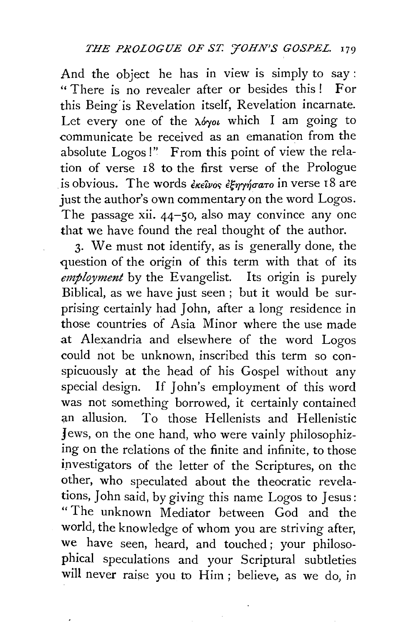And the object he has in view is simply to say: " There is no revealer after or besides this! For this Being' is Revelation itself, Revelation incarnate. Let every one of the  $\lambda \phi$ yot which I am going to communicate be received as an emanation from the absolute Logos!" From this point of view the relation of verse 18 to the first verse of the Prologue is obvious. The words *ἐκεῖνος ἐξηγήσατο* in verse 18 are just the author's own commentary on the word Logos. The passage xii. 44–50, also may convince any one that we have found the real thought of the author.

3· We must not identify, as is generally done, the question of the origin of this term with that of its *employment* by the Evangelist. Its origin is purely Biblical, as we have just seen ; but it would be surprising certainly had John, after a long residence in those countries of Asia Minor where the use made at Alexandria and elsewhere of the word Logos could not be unknown, inscribed this term so conspicuously at the head of his Gospel without any special design. If John's employment of this word was not something borrowed, it certainly contained an allusion. To those Hellenists and Hellenistic Jews, on the one hand, who were vainly philosophizing on the relations of the finite and infinite, to those investigators of the letter of the Scriptures, on the other, who speculated about the theocratic revelations, John said, by giving this name Logos to Jesus: " The unknown Mediator between God and the world, the knowledge of whom you are striving after, we have seen, heard, and touched; your philosophical speculations and your Scriptural subtleties will never raise you to Him; believe, as we do, in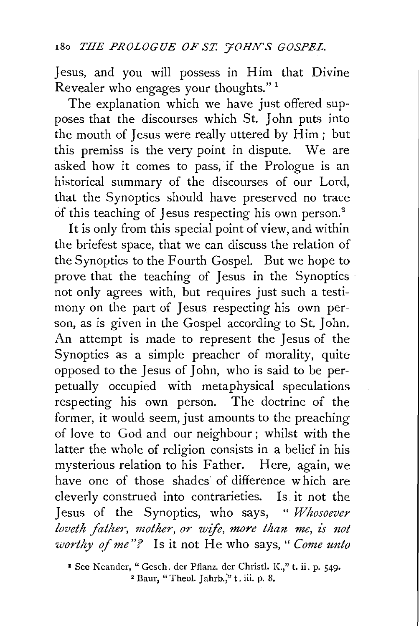Jesus, and you will possess in Him that Divine Revealer who engages your thoughts." 1

The explanation which we have just offered supposes that the discourses which St. John puts into the mouth of Jesus were really uttered by Him ; but this premiss is the very point in dispute. We are asked how it comes to pass, if the Prologue is an historical summary of the discourses of our Lord, that the Synoptics should have preserved no trace of this teaching of Jesus respecting his own person.<sup>2</sup>

**It** is only from this special point of view, and within the briefest space, that we can discuss the relation of the Synoptics to the Fourth Gospel. But we hope to prove that the teaching of Jesus in the Synoptics not only agrees with, but requires just such a testimony on the part of Jesus respecting his own person, as is given in the Gospel according to St. John. An attempt is made to represent the Jesus of the Synoptics as a simple preacher of morality, quite opposed to the *1* esus of *1* ohn, who is said to be perpetually occupied with metaphysical speculations respecting his own person. The doctrine of the former, it would seem, just amounts to the preaching of love to God and our neighbour ; whilst with the latter the whole of religion consists in a belief in his mysterious relation to his Father. Here, again, we have one of those shades of difference which are cleverly construed into contrarieties. Is it not the **1** esus of the Synoptics, who says, " *Whosoever loveth father, mother, or wife, more than me, is not worthy of me"?* Is it not He who says, " *Come unto* 

• See Neander, "Gesch. der Pflanz. der Christl. K.," t. ii. p. 549• 2 Baur, "Theol. <sup>J</sup>ahrb.;" t. iii. p. 8.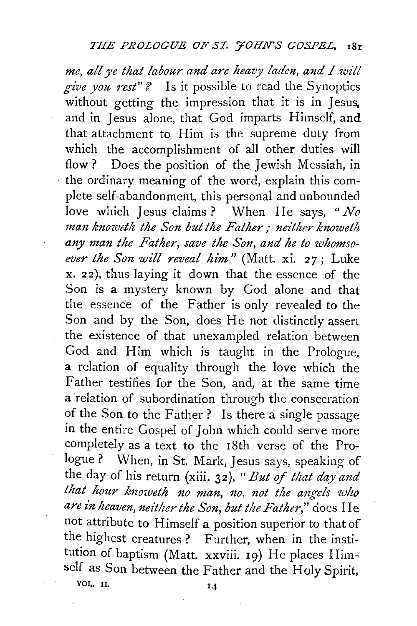*me, all ye that labour and are heazy laden, and I will*  give you rest"? Is it possible to read the Synoptics without getting the impression that it is in Jesus, and in Jesus alone, that God imparts Himself, and that attachment to Him is the supreme duty from which the accomplishment of all other duties will flow ? Does the position of the Jewish Messiah, in the ordinary meaning of the word, explain this complete self-abandonment, this personal and unbounded love which Jesus claims? When He says, *"No man knoweth the Son but the Father,- mither knoweth*  any man the Father, save the Son, and he to whomso*ever the Son will reveal him"* (Matt. xi. 27; Luke x. 22), thus laying it down that the essence of the Son is a mystery known by God alone and that the essence of the Father is only revealed to the Son and by the Son, does He not distinctly assert the existence of that unexampled relation between God and Him which is taught in the Prologue, a relation of equality through the love which the Father testifies for the Son, and, at the same time a relation of subordination through the consecration of the Son to the Father? Is there a single passage in the entire Gospel of John which could serve more completely as a text to the 18th verse of the Prologue ? When, in St. Mark, Jesus says, speaking of the day of his return (xiii. 32), *"But of that day and*  that hour knoweth no man, no, not the angels who *are in heaven, neither the Son, but the Father,"* does He not attribute to Himself a position superior to that of the highest creatures? Further, when in the institution of baptism (Matt. xxviii. 19) He places Himself as Son between the Father and the Holy Spirit, VOL. II. 14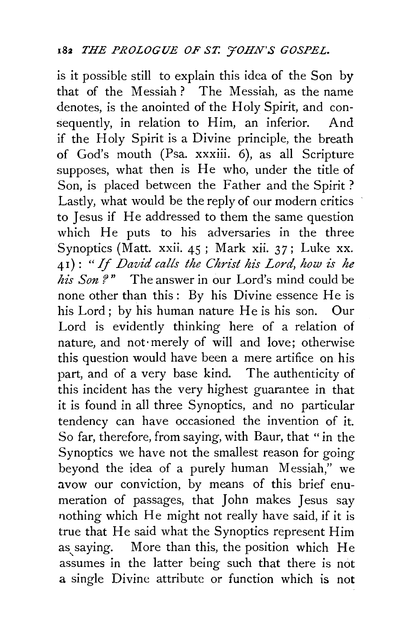is it possible still to explain this idea of the Son by that of the Messiah? The Messiah, as the name denotes, is the anointed of the Holy Spirit, and consequently, in relation to Him, an inferior. And if the Holy Spirit is a Divine principle, the breath of God's mouth (Psa. xxxiii. 6), as all Scripture supposes, what then is He who, under the title of Son, is placed between the Father and the Spirit ? Lastly, what would be the reply of our modern critics to Jesus if He addressed to them the same question which He puts to his adversaries in the three Synoptics (Matt. xxii. 45; Mark xii. 37; Luke xx. 41): *"If David calls the Christ his Lord, how is he his Son* ?" The answer in our Lord's mind could be none other than this: By his Divine essence He is his Lord; by his human nature He is his son. Our Lord is evidently thinking here of a relation of nature, and not·merely of will and love; otherwise this question would have been a mere artifice on his part, and of a very base kind. The authenticity of this incident has the very highest guarantee in that it is found in all three Synoptics, and no particular tendency can have occasioned the invention of it. So far, therefore, from saying, with Baur, that "in the Synoptics we have not the smallest reason for going beyond the idea of a purely human Messiah," we avow our conviction, by means of this brief enumeration of passages, that John makes Jesus say nothing which He might not really have said, if it is true that He said what the Synoptics represent Him as saying. More than this, the position which He assumes in the latter being such that there is not a single Divine attribute or function which is not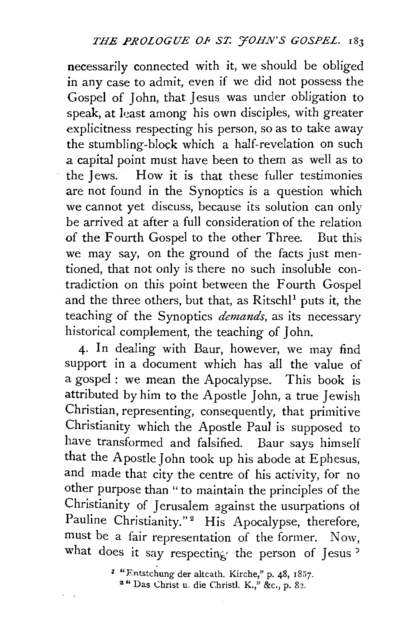necessarily connected with it, we should be obliged in any case to admit, even if we did not possess the Gospel of John, that Jesus was under obligation to speak, at least among his own disciples, with greater explicitness respecting his person, so as to take away the stumbling-block which a half-revelation on such a capital point must have been to them as well as to the Jews. How it is that these fuller testimonies are not found in the Synoptics is a question which we cannot yet discuss, because its solution can only be arrived at after a full consideration of the relation of the Fourth Gospel to the other Three. But this we may say, on the ground of the facts just mentioned, that not only is there no such insoluble contradiction on this point between the Fourth Gospel and the three others, but that, as Ritschl<sup>1</sup> puts it, the teaching of the Synoptics *demands,* as its necessary historical complement, the teaching of John.

4· In dealing with Baur, however, we may find support in a document which has all the value of a gospel: we mean the Apocalypse. This book is attributed by him to the Apostle John, a true Jewish Christian, representing, consequently, that primitive Christianity which the Apostle Paul is supposed to have transformed and falsified. Baur says himself that the Apostle John took up his abode at Ephesus, and made that city the centre of his activity, for no other purpose than "to maintain the principles of the Christianity of Jerusalem against the usurpations of Pauline Christianity."<sup>2</sup> His Apocalypse, therefore, must be a fair representation of the former. Now, what does it say respecting the person of Jesus  $3$ 

• "Entstchung der altcath. Kirche," p. 48, 1857. 2 " Das Christ u. die Christl. K.," &c., p. 82.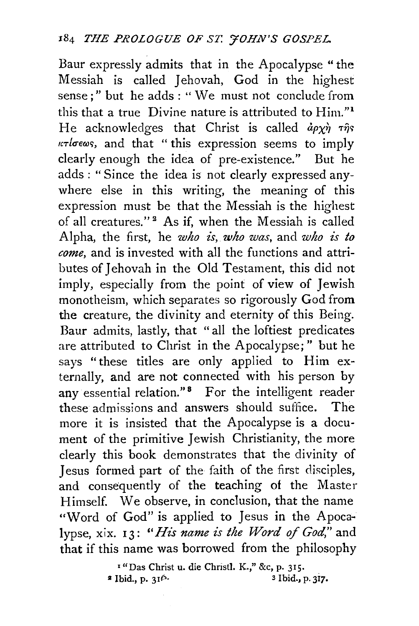Baur expressly admits that in the Apocalypse "the Messiah is called Jehovah, God in the highest sense;" but he adds : " We must not conclude from this that a true Divine nature is attributed to Him."<sup>1</sup> He acknowledges that Christ is called  $d\rho\chi\dot{\eta}$   $\tau\hat{\eta}s$ *teTlcrewc;,* and that "this expression seems to imply clearly enough the idea of pre-existence." But he adds : " Since the idea is not clearly expressed anywhere else in this writing, the meaning of this expression must be that the Messiah is the highest of all creatures."<sup>2</sup> As if, when the Messiah is called Alpha, the first, he *who is, who was,* and *who is to come,* and is invested with all the functions and attributes of Jehovah in the Old Testament, this did not imply, especially from the point of view of Jewish monotheism, which separates so rigorously God from the creature, the divinity and eternity of this Being. Baur admits, lastly, that "all the loftiest predicates are attributed to Christ in the Apocalypse;" but he says "these titles are only applied to Him externally, and are not connected with his person by any essential relation."<sup>8</sup> For the intelligent reader these admissions and answers should suffice. The more it is insisted that the Apocalypse is a document of the primitive Jewish Christianity, the more clearly this book demonstrates that the divinity of Jesus formed part of the faith of the first disciples, and consequently of the teaching of the Master Himself. We observe, in conclusion, that the name "Word of God" is applied to Jesus in the Apoca~ lypse, xix. 13: "His name is the Word of God," and that if this name was borrowed from the philosophy

> <sup>1</sup>"Das Christ u. die Christ!. K.," &c, p. 315.  $a \text{ Ibid., p. } 31^{6} \cdot 3 \text{ Ibid., p. } 317$ .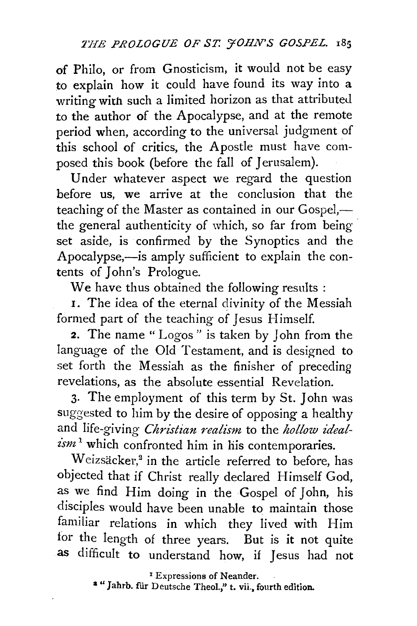of Philo, or from Gnosticism, it would not be easy to explain how it could have found its way into a writing with such a limited horizon as that attributed to the author of the Apocalypse, and at the remote period when, according to the universal judgment of this school of critics, the Apostle must have composed this book (before the fall of Jerusalem).

Under whatever aspect we regard the question before us, we arrive at the conclusion that the teaching of the Master as contained in our Gospel,the general authenticity of which, so far from being set aside, is confirmed by the Synoptics and the Apocalypse,—is amply sufficient to explain the contents of John's Prologue.

We have thus obtained the following results :

1. The idea of the eternal divinity of the Messiah formed part of the teaching of Jesus Himself.

2. The name " Logos " is taken by John from the language of the Old Testament, and is designed to set forth the Messiah as the finisher of preceding revelations, as the absolute essential Revelation.

3· The employment of this term by St. John was suggested to him by the desire of opposing a healthy and life-giving *Christian realism* to the *hollow ideal*ism<sup>1</sup> which confronted him in his contemporaries.

Weizsäcker,<sup>2</sup> in the article referred to before, has objected that if Christ really declared Himself God, as we find Him doing in the Gospel of John, his disciples would have been unable to maintain those familiar relations in which they lived with Him for the length of three years. But is it not quite as difficult to understand how, if Jesus had not

<sup>2</sup> " Jahrb. für Deutsche Theol.," t. vii., fourth edition.